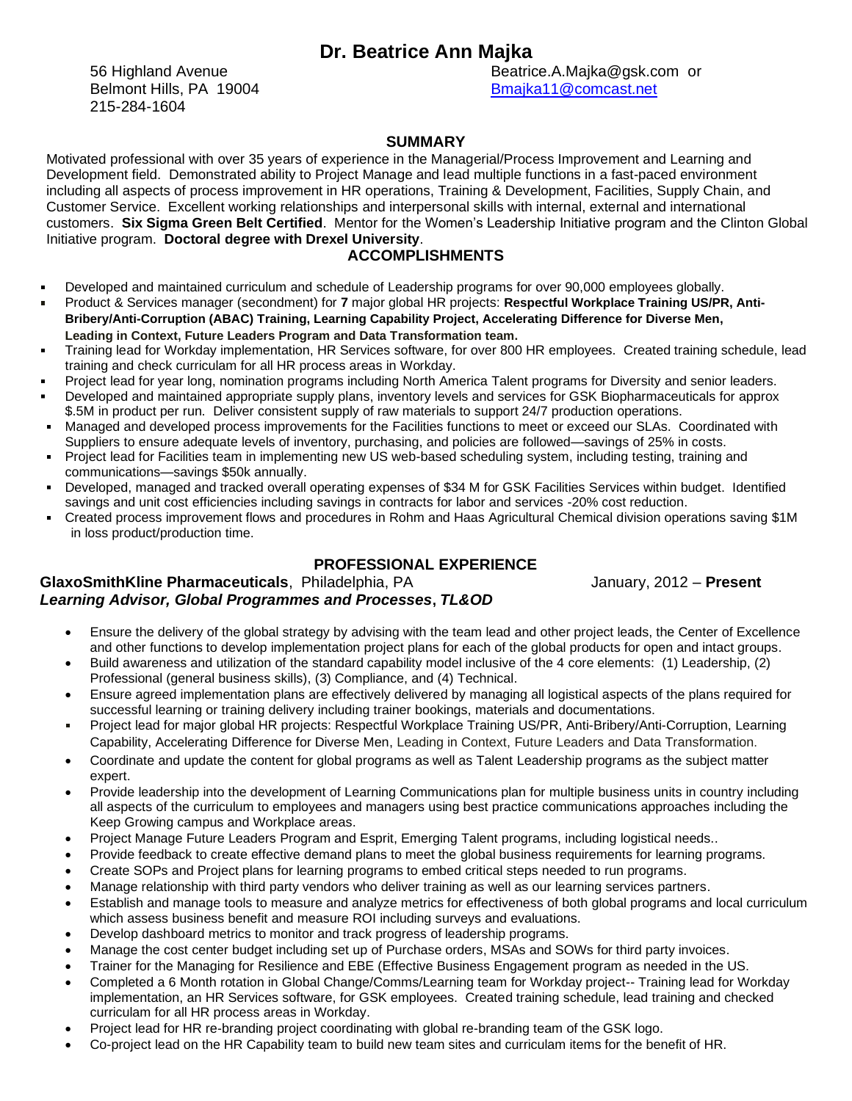# **Dr. Beatrice Ann Majka**

Belmont Hills, PA 19004 Belmont Hills, PA 19004 215-284-1604

56 Highland Avenue **Beatrice.A.Majka@gsk.com** or

## **SUMMARY**

Motivated professional with over 35 years of experience in the Managerial/Process Improvement and Learning and Development field. Demonstrated ability to Project Manage and lead multiple functions in a fast-paced environment including all aspects of process improvement in HR operations, Training & Development, Facilities, Supply Chain, and Customer Service. Excellent working relationships and interpersonal skills with internal, external and international customers. **Six Sigma Green Belt Certified**. Mentor for the Women's Leadership Initiative program and the Clinton Global Initiative program. **Doctoral degree with Drexel University**.

## **ACCOMPLISHMENTS**

- $\blacksquare$ Developed and maintained curriculum and schedule of Leadership programs for over 90,000 employees globally.
- Product & Services manager (secondment) for **7** major global HR projects: **Respectful Workplace Training US/PR, Anti-** $\blacksquare$ **Bribery/Anti-Corruption (ABAC) Training, Learning Capability Project, Accelerating Difference for Diverse Men, Leading in Context, Future Leaders Program and Data Transformation team.**
- Training lead for Workday implementation, HR Services software, for over 800 HR employees. Created training schedule, lead  $\blacksquare$ training and check curriculam for all HR process areas in Workday.
- Project lead for year long, nomination programs including North America Talent programs for Diversity and senior leaders.
- Developed and maintained appropriate supply plans, inventory levels and services for GSK Biopharmaceuticals for approx \$.5M in product per run. Deliver consistent supply of raw materials to support 24/7 production operations.
- Managed and developed process improvements for the Facilities functions to meet or exceed our SLAs. Coordinated with Suppliers to ensure adequate levels of inventory, purchasing, and policies are followed—savings of 25% in costs.
- Project lead for Facilities team in implementing new US web-based scheduling system, including testing, training and communications—savings \$50k annually.
- Developed, managed and tracked overall operating expenses of \$34 M for GSK Facilities Services within budget. Identified savings and unit cost efficiencies including savings in contracts for labor and services -20% cost reduction.
- Created process improvement flows and procedures in Rohm and Haas Agricultural Chemical division operations saving \$1M in loss product/production time.

# **PROFESSIONAL EXPERIENCE**

**GlaxoSmithKline Pharmaceuticals**, Philadelphia, PA January, 2012 – Present

# *Learning Advisor, Global Programmes and Processes***,** *TL&OD*

- Ensure the delivery of the global strategy by advising with the team lead and other project leads, the Center of Excellence and other functions to develop implementation project plans for each of the global products for open and intact groups.
- Build awareness and utilization of the standard capability model inclusive of the 4 core elements: (1) Leadership, (2) Professional (general business skills), (3) Compliance, and (4) Technical.
- Ensure agreed implementation plans are effectively delivered by managing all logistical aspects of the plans required for successful learning or training delivery including trainer bookings, materials and documentations.
- Project lead for major global HR projects: Respectful Workplace Training US/PR, Anti-Bribery/Anti-Corruption, Learning Capability, Accelerating Difference for Diverse Men, Leading in Context, Future Leaders and Data Transformation.
- Coordinate and update the content for global programs as well as Talent Leadership programs as the subject matter expert.
- Provide leadership into the development of Learning Communications plan for multiple business units in country including all aspects of the curriculum to employees and managers using best practice communications approaches including the Keep Growing campus and Workplace areas.
- Project Manage Future Leaders Program and Esprit, Emerging Talent programs, including logistical needs..
- Provide feedback to create effective demand plans to meet the global business requirements for learning programs.
- Create SOPs and Project plans for learning programs to embed critical steps needed to run programs.
- Manage relationship with third party vendors who deliver training as well as our learning services partners.
- Establish and manage tools to measure and analyze metrics for effectiveness of both global programs and local curriculum which assess business benefit and measure ROI including surveys and evaluations.
- Develop dashboard metrics to monitor and track progress of leadership programs.
- Manage the cost center budget including set up of Purchase orders, MSAs and SOWs for third party invoices.
- Trainer for the Managing for Resilience and EBE (Effective Business Engagement program as needed in the US.
- Completed a 6 Month rotation in Global Change/Comms/Learning team for Workday project-- Training lead for Workday implementation, an HR Services software, for GSK employees. Created training schedule, lead training and checked curriculam for all HR process areas in Workday.
- Project lead for HR re-branding project coordinating with global re-branding team of the GSK logo.
- Co-project lead on the HR Capability team to build new team sites and curriculam items for the benefit of HR.